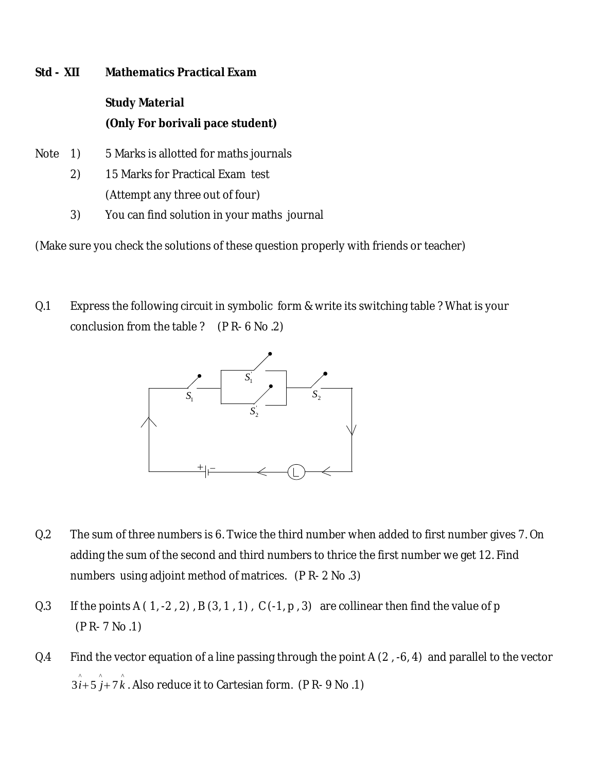## **Std - XII Mathematics Practical Exam**

## **Study Material (Only For borivali pace student)**

- Note 1) 5 Marks is allotted for maths journals
	- 2) 15 Marks for Practical Exam test (Attempt any three out of four)
	- 3) You can find solution in your maths journal

(Make sure you check the solutions of these question properly with friends or teacher)

Q.1 Express the following circuit in symbolic form & write its switching table ? What is your conclusion from the table ? (P R- 6 No .2)



- Q.2 The sum of three numbers is 6. Twice the third number when added to first number gives 7. On adding the sum of the second and third numbers to thrice the first number we get 12. Find numbers using adjoint method of matrices. (P R- 2 No .3)
- Q.3 If the points A  $(1, -2, 2)$ , B  $(3, 1, 1)$ , C  $(-1, p, 3)$  are collinear then find the value of p (P R- 7 No .1)
- Q.4 Find the vector equation of a line passing through the point A (2, -6, 4) and parallel to the vector  $\hat{3 i} + 5 \hat{j} + 7 \hat{k}$  . Also reduce it to Cartesian form. (P R- 9 No .1)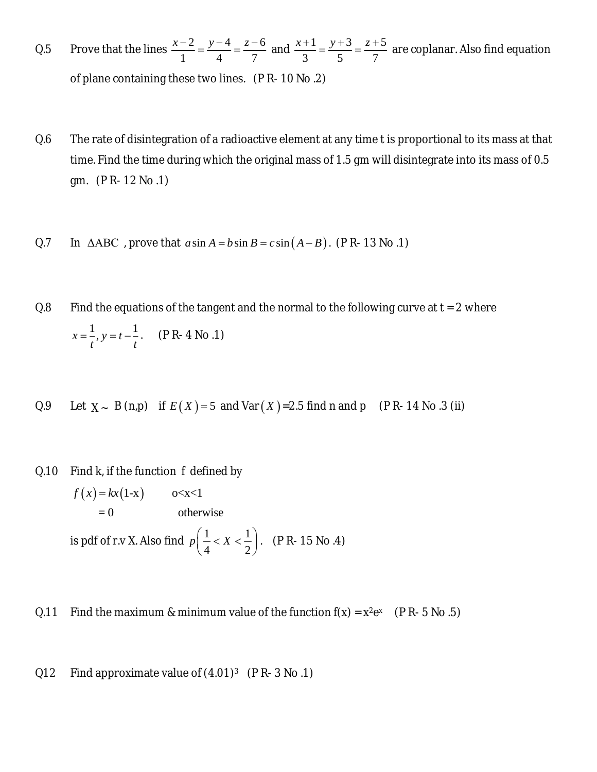- Q.5 Prove that the lines  $\frac{x-2}{1} = \frac{y-4}{1} = \frac{z-6}{7}$ 1 4 7  $\frac{x-2}{1} = \frac{y-4}{1} = \frac{z-6}{7}$  and  $\frac{x+1}{2} = \frac{y+3}{7} = \frac{z+5}{7}$ 3 5 7  $\frac{x+1}{2} = \frac{y+3}{5} = \frac{z+5}{5}$  are coplanar. Also find equation of plane containing these two lines. (P R- 10 No .2)
- Q.6 The rate of disintegration of a radioactive element at any time t is proportional to its mass at that time. Find the time during which the original mass of 1.5 gm will disintegrate into its mass of 0.5 gm. (P R- 12 No .1)
- Q.7 In ΔABC, prove that  $a \sin A = b \sin B = c \sin (A B)$ . (PR- 13 No .1)
- Q.8 Find the equations of the tangent and the normal to the following curve at  $t = 2$  where  $x = \frac{1}{2}, y = t - \frac{1}{2}$  $t^{\prime}$  t  $=$   $\frac{1}{2}$ ,  $y = t - \frac{1}{2}$ . (P R- 4 No .1)
- Q.9 Let  $X \sim B(n,p)$  if  $E(X) = 5$  and  $Var(X) = 2.5$  find n and p (PR-14 No.3 (ii)
- Q.10 Find k, if the function *f* defined by  $f(x) = kx(1-x)$  o<x<1  $= 0$  otherwise is pdf of r.v X. Also find  $p\left(\frac{1}{1} < X < \frac{1}{2}\right)$  $p\left(\frac{1}{4} < X < \frac{1}{2}\right)$ . (P R- 15 No .4)
- Q.11 Find the maximum & minimum value of the function  $f(x) = x^2e^x$  (P R-5 No .5)
- Q12 Find approximate value of (4.01)<sup>3</sup> (P R- 3 No .1)